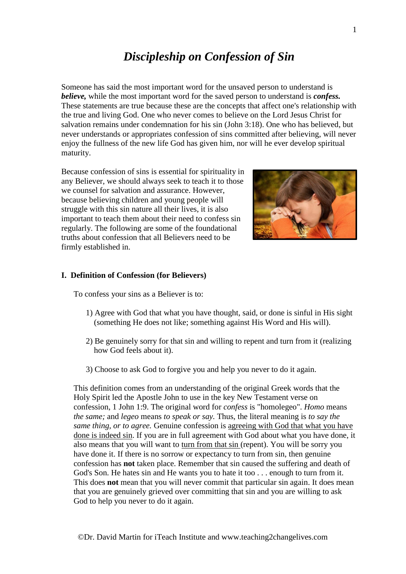# *Discipleship on Confession of Sin*

Someone has said the most important word for the unsaved person to understand is *believe,* while the most important word for the saved person to understand is *confess.* These statements are true because these are the concepts that affect one's relationship with the true and living God. One who never comes to believe on the Lord Jesus Christ for salvation remains under condemnation for his sin (John 3:18). One who has believed, but never understands or appropriates confession of sins committed after believing, will never enjoy the fullness of the new life God has given him, nor will he ever develop spiritual maturity.

Because confession of sins is essential for spirituality in any Believer, we should always seek to teach it to those we counsel for salvation and assurance. However, because believing children and young people will struggle with this sin nature all their lives, it is also important to teach them about their need to confess sin regularly. The following are some of the foundational truths about confession that all Believers need to be firmly established in.



## **I. Definition of Confession (for Believers)**

To confess your sins as a Believer is to:

- 1) Agree with God that what you have thought, said, or done is sinful in His sight (something He does not like; something against His Word and His will).
- 2) Be genuinely sorry for that sin and willing to repent and turn from it (realizing how God feels about it).
- 3) Choose to ask God to forgive you and help you never to do it again.

This definition comes from an understanding of the original Greek words that the Holy Spirit led the Apostle John to use in the key New Testament verse on confession, 1 John 1:9. The original word for *confess* is "homolegeo". *Homo* means *the same;* and *legeo* means *to speak or say.* Thus, the literal meaning is *to say the same thing, or to agree.* Genuine confession is agreeing with God that what you have done is indeed sin. If you are in full agreement with God about what you have done, it also means that you will want to turn from that sin (repent). You will be sorry you have done it. If there is no sorrow or expectancy to turn from sin, then genuine confession has **not** taken place. Remember that sin caused the suffering and death of God's Son. He hates sin and He wants you to hate it too . . . enough to turn from it. This does **not** mean that you will never commit that particular sin again. It does mean that you are genuinely grieved over committing that sin and you are willing to ask God to help you never to do it again.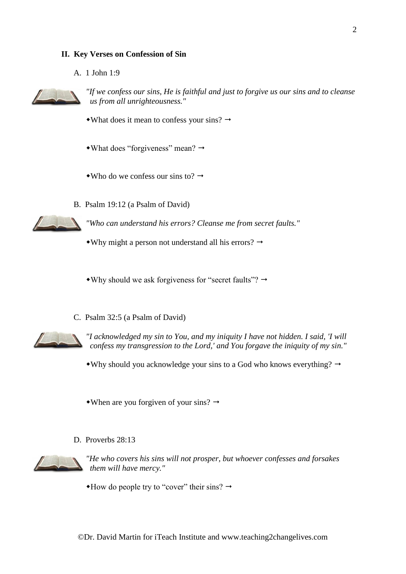## **II. Key Verses on Confession of Sin**

A. 1 John 1:9



*"If we confess our sins, He is faithful and just to forgive us our sins and to cleanse us from all unrighteousness."*

- What does it mean to confess your sins?  $\rightarrow$
- $\rightarrow$ What does "forgiveness" mean?  $\rightarrow$
- Who do we confess our sins to?  $\rightarrow$
- B. Psalm 19:12 (a Psalm of David)

*"Who can understand his errors? Cleanse me from secret faults."*

• Why might a person not understand all his errors?  $\rightarrow$ 

 $\bullet$ Why should we ask forgiveness for "secret faults"?  $\rightarrow$ 

C. Psalm 32:5 (a Psalm of David)



*"I acknowledged my sin to You, and my iniquity I have not hidden. I said, 'I will confess my transgression to the Lord,' and You forgave the iniquity of my sin."*

• Why should you acknowledge your sins to a God who knows everything?  $\rightarrow$ 

• When are you for given of your sins?  $\rightarrow$ 

D. Proverbs 28:13



*"He who covers his sins will not prosper, but whoever confesses and forsakes them will have mercy."*

 $*$ How do people try to "cover" their sins?  $\rightarrow$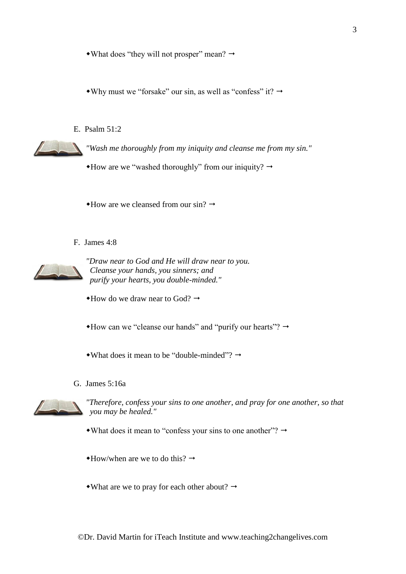• What does "they will not prosper" mean?  $\rightarrow$ 

• Why must we "forsake" our sin, as well as "confess" it?  $\rightarrow$ 

E. Psalm 51:2

*"Wash me thoroughly from my iniquity and cleanse me from my sin."*

 $*$  How are we "washed thoroughly" from our iniquity?  $\rightarrow$ 

 $*$ How are we cleansed from our sin?  $\rightarrow$ 

F. James 4:8



*"Draw near to God and He will draw near to you. Cleanse your hands, you sinners; and purify your hearts, you double-minded."*

 $*$ How do we draw near to God?  $\rightarrow$ 

 $*$  How can we "cleanse our hands" and "purify our hearts"?  $\rightarrow$ 

• What does it mean to be "double-minded"?  $\rightarrow$ 

G. James 5:16a



*"Therefore, confess your sins to one another, and pray for one another, so that you may be healed."*

 $\bullet$ What does it mean to "confess your sins to one another"?  $\rightarrow$ 

 $\triangleleft$ How/when are we to do this?  $\rightarrow$ 

• What are we to pray for each other about?  $\rightarrow$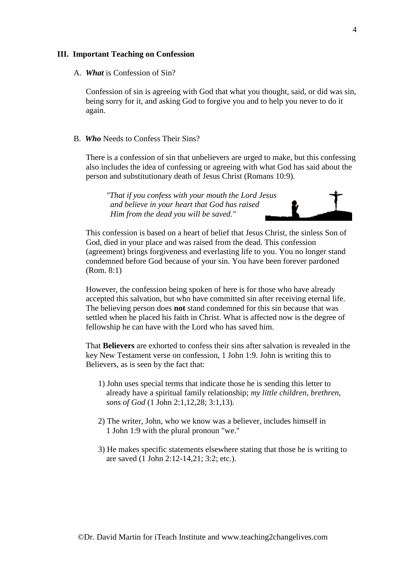#### **III. Important Teaching on Confession**

A. *What* is Confession of Sin?

Confession of sin is agreeing with God that what you thought, said, or did was sin, being sorry for it, and asking God to forgive you and to help you never to do it again.

B. *Who* Needs to Confess Their Sins?

There is a confession of sin that unbelievers are urged to make, but this confessing also includes the idea of confessing or agreeing with what God has said about the person and substitutionary death of Jesus Christ (Romans 10:9).

*"That if you confess with your mouth the Lord Jesus and believe in your heart that God has raised Him from the dead you will be saved."*



This confession is based on a heart of belief that Jesus Christ, the sinless Son of God, died in your place and was raised from the dead. This confession (agreement) brings forgiveness and everlasting life to you. You no longer stand condemned before God because of your sin. You have been forever pardoned (Rom. 8:1)

However, the confession being spoken of here is for those who have already accepted this salvation, but who have committed sin after receiving eternal life. The believing person does **not** stand condemned for this sin because that was settled when he placed his faith in Christ. What is affected now is the degree of fellowship he can have with the Lord who has saved him.

That **Believers** are exhorted to confess their sins after salvation is revealed in the key New Testament verse on confession, 1 John 1:9. John is writing this to Believers, as is seen by the fact that:

- 1) John uses special terms that indicate those he is sending this letter to already have a spiritual family relationship; *my little children, brethren, sons of God* (1 John 2:1,12,28; 3:1,13).
- 2) The writer, John, who we know was a believer, includes himself in 1 John 1:9 with the plural pronoun "we."
- 3) He makes specific statements elsewhere stating that those he is writing to are saved (1 John 2:12-14,21; 3:2; etc.).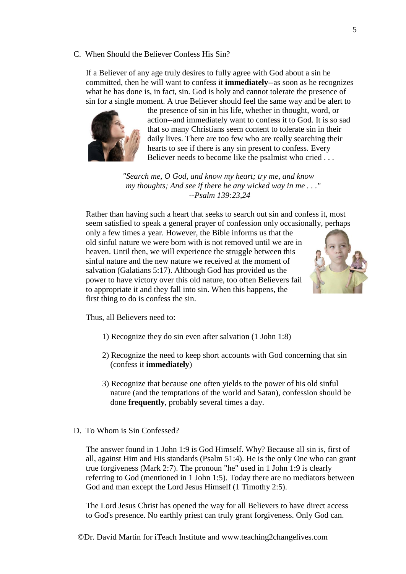C. When Should the Believer Confess His Sin?

If a Believer of any age truly desires to fully agree with God about a sin he committed, then he will want to confess it **immediately**--as soon as he recognizes what he has done is, in fact, sin. God is holy and cannot tolerate the presence of sin for a single moment. A true Believer should feel the same way and be alert to



the presence of sin in his life, whether in thought, word, or action--and immediately want to confess it to God. It is so sad that so many Christians seem content to tolerate sin in their daily lives. There are too few who are really searching their hearts to see if there is any sin present to confess. Every Believer needs to become like the psalmist who cried . . .

*"Search me, O God, and know my heart; try me, and know my thoughts; And see if there be any wicked way in me . . ." --Psalm 139:23,24*

Rather than having such a heart that seeks to search out sin and confess it, most seem satisfied to speak a general prayer of confession only occasionally, perhaps

only a few times a year. However, the Bible informs us that the old sinful nature we were born with is not removed until we are in heaven. Until then, we will experience the struggle between this sinful nature and the new nature we received at the moment of salvation (Galatians 5:17). Although God has provided us the power to have victory over this old nature, too often Believers fail to appropriate it and they fall into sin. When this happens, the first thing to do is confess the sin.



Thus, all Believers need to:

- 1) Recognize they do sin even after salvation (1 John 1:8)
- 2) Recognize the need to keep short accounts with God concerning that sin (confess it **immediately**)
- 3) Recognize that because one often yields to the power of his old sinful nature (and the temptations of the world and Satan), confession should be done **frequently**, probably several times a day.
- D. To Whom is Sin Confessed?

The answer found in 1 John 1:9 is God Himself. Why? Because all sin is, first of all, against Him and His standards (Psalm 51:4). He is the only One who can grant true forgiveness (Mark 2:7). The pronoun "he" used in 1 John 1:9 is clearly referring to God (mentioned in 1 John 1:5). Today there are no mediators between God and man except the Lord Jesus Himself (1 Timothy 2:5).

The Lord Jesus Christ has opened the way for all Believers to have direct access to God's presence. No earthly priest can truly grant forgiveness. Only God can.

©Dr. David Martin for iTeach Institute and www.teaching2changelives.com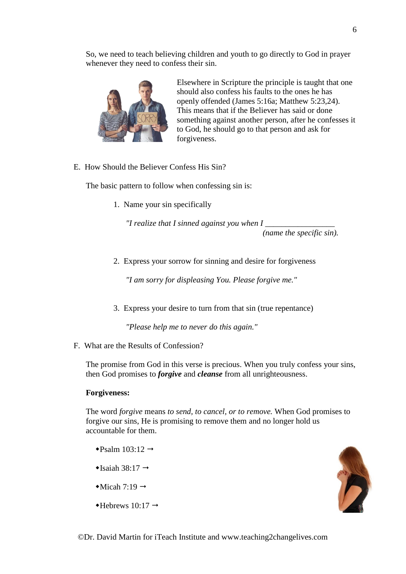So, we need to teach believing children and youth to go directly to God in prayer whenever they need to confess their sin.



Elsewhere in Scripture the principle is taught that one should also confess his faults to the ones he has openly offended (James 5:16a; Matthew 5:23,24). This means that if the Believer has said or done something against another person, after he confesses it to God, he should go to that person and ask for forgiveness.

E. How Should the Believer Confess His Sin?

The basic pattern to follow when confessing sin is:

1. Name your sin specifically

*"I realize that I sinned against you when I \_\_\_\_\_\_\_\_\_\_\_\_\_\_\_\_\_* 

*(name the specific sin).*

2. Express your sorrow for sinning and desire for forgiveness

*"I am sorry for displeasing You. Please forgive me."*

3. Express your desire to turn from that sin (true repentance)

*"Please help me to never do this again."*

F. What are the Results of Confession?

The promise from God in this verse is precious. When you truly confess your sins, then God promises to *forgive* and *cleanse* from all unrighteousness.

## **Forgiveness:**

The word *forgive* means *to send, to cancel, or to remove.* When God promises to forgive our sins, He is promising to remove them and no longer hold us accountable for them.

- $\triangleleft$ Psalm 103:12  $\rightarrow$
- $\triangleleft$ Isaiah 38:17  $\rightarrow$
- $\triangleleft$ Micah 7:19  $\rightarrow$
- $\triangleleft$ Hebrews 10:17  $\rightarrow$

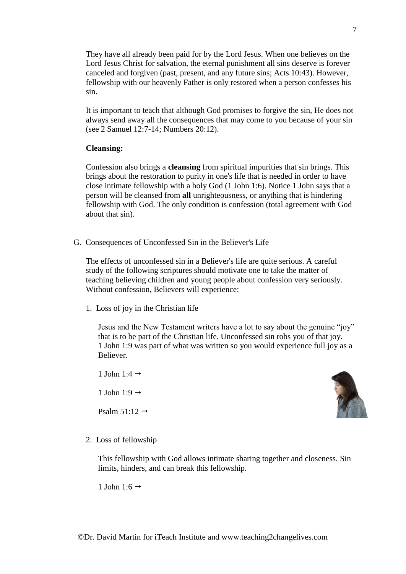They have all already been paid for by the Lord Jesus. When one believes on the Lord Jesus Christ for salvation, the eternal punishment all sins deserve is forever canceled and forgiven (past, present, and any future sins; Acts 10:43). However, fellowship with our heavenly Father is only restored when a person confesses his sin.

It is important to teach that although God promises to forgive the sin, He does not always send away all the consequences that may come to you because of your sin (see 2 Samuel 12:7-14; Numbers 20:12).

# **Cleansing:**

Confession also brings a **cleansing** from spiritual impurities that sin brings. This brings about the restoration to purity in one's life that is needed in order to have close intimate fellowship with a holy God (1 John 1:6). Notice 1 John says that a person will be cleansed from **all** unrighteousness, or anything that is hindering fellowship with God. The only condition is confession (total agreement with God about that sin).

G. Consequences of Unconfessed Sin in the Believer's Life

The effects of unconfessed sin in a Believer's life are quite serious. A careful study of the following scriptures should motivate one to take the matter of teaching believing children and young people about confession very seriously. Without confession, Believers will experience:

1. Loss of joy in the Christian life

Jesus and the New Testament writers have a lot to say about the genuine "joy" that is to be part of the Christian life. Unconfessed sin robs you of that joy. 1 John 1:9 was part of what was written so you would experience full joy as a Believer.

1 John 1:4  $\rightarrow$ 

1 John 1:9  $\rightarrow$ 

Psalm  $51:12 \rightarrow$ 



2. Loss of fellowship

This fellowship with God allows intimate sharing together and closeness. Sin limits, hinders, and can break this fellowship.

1 John 1:6  $\rightarrow$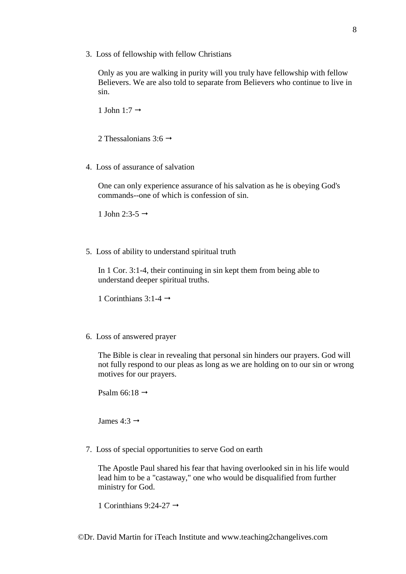3. Loss of fellowship with fellow Christians

Only as you are walking in purity will you truly have fellowship with fellow Believers. We are also told to separate from Believers who continue to live in sin.

1 John 1:7  $\rightarrow$ 

2 Thessalonians 3:6  $\rightarrow$ 

4. Loss of assurance of salvation

One can only experience assurance of his salvation as he is obeying God's commands--one of which is confession of sin.

1 John 2:3-5  $\rightarrow$ 

5. Loss of ability to understand spiritual truth

In 1 Cor. 3:1-4, their continuing in sin kept them from being able to understand deeper spiritual truths.

1 Corinthians 3:1-4  $\rightarrow$ 

6. Loss of answered prayer

The Bible is clear in revealing that personal sin hinders our prayers. God will not fully respond to our pleas as long as we are holding on to our sin or wrong motives for our prayers.

Psalm 66:18  $\rightarrow$ 

James 4:3  $\rightarrow$ 

7. Loss of special opportunities to serve God on earth

The Apostle Paul shared his fear that having overlooked sin in his life would lead him to be a "castaway," one who would be disqualified from further ministry for God.

1 Corinthians 9:24-27  $\rightarrow$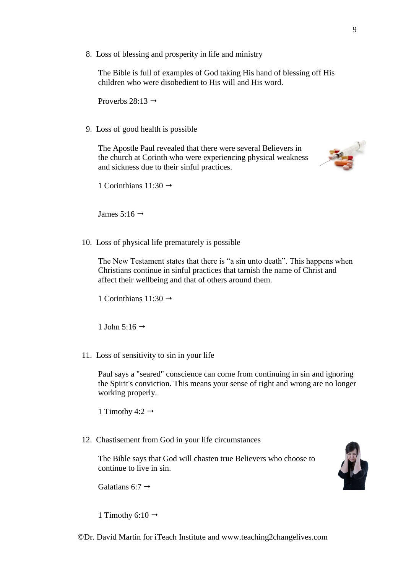8. Loss of blessing and prosperity in life and ministry

The Bible is full of examples of God taking His hand of blessing off His children who were disobedient to His will and His word.

Proverbs  $28:13 \rightarrow$ 

9. Loss of good health is possible

The Apostle Paul revealed that there were several Believers in the church at Corinth who were experiencing physical weakness and sickness due to their sinful practices.



1 Corinthians  $11:30 \rightarrow$ 

James 5:16  $\rightarrow$ 

10. Loss of physical life prematurely is possible

The New Testament states that there is "a sin unto death". This happens when Christians continue in sinful practices that tarnish the name of Christ and affect their wellbeing and that of others around them.

1 Corinthians  $11:30 \rightarrow$ 

1 John 5:16  $\rightarrow$ 

11. Loss of sensitivity to sin in your life

Paul says a "seared" conscience can come from continuing in sin and ignoring the Spirit's conviction. This means your sense of right and wrong are no longer working properly.

1 Timothy 4:2  $\rightarrow$ 

12. Chastisement from God in your life circumstances

The Bible says that God will chasten true Believers who choose to continue to live in sin.

Galatians 6:7  $\rightarrow$ 

1 Timothy 6:10  $\rightarrow$ 

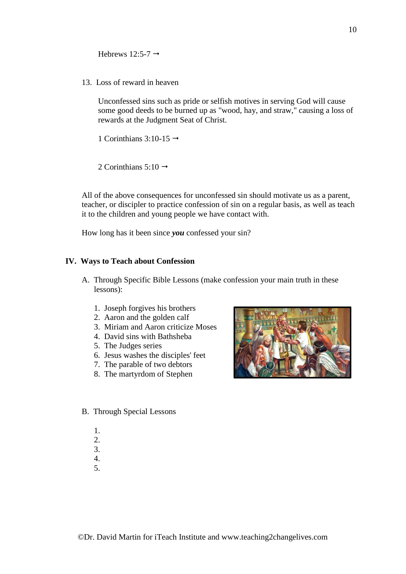Hebrews 12:5-7  $\rightarrow$ 

13. Loss of reward in heaven

Unconfessed sins such as pride or selfish motives in serving God will cause some good deeds to be burned up as "wood, hay, and straw," causing a loss of rewards at the Judgment Seat of Christ.

1 Corinthians 3:10-15  $\rightarrow$ 

2 Corinthians 5:10  $\rightarrow$ 

All of the above consequences for unconfessed sin should motivate us as a parent, teacher, or discipler to practice confession of sin on a regular basis, as well as teach it to the children and young people we have contact with.

How long has it been since *you* confessed your sin?

## **IV. Ways to Teach about Confession**

- A. Through Specific Bible Lessons (make confession your main truth in these lessons):
	- 1. Joseph forgives his brothers
	- 2. Aaron and the golden calf
	- 3. Miriam and Aaron criticize Moses
	- 4. David sins with Bathsheba
	- 5. The Judges series
	- 6. Jesus washes the disciples' feet
	- 7. The parable of two debtors
	- 8. The martyrdom of Stephen



- B. Through Special Lessons
	- 1.
	- 2.
	- 3. 4.
	- 5.